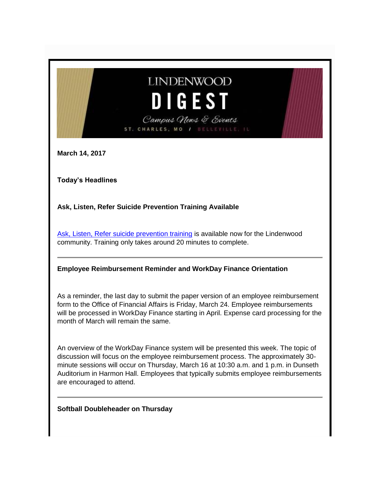# **LINDENWOOD** DIGEST Campus News & Events ST. CHARLES, MO

**March 14, 2017**

**Today's Headlines**

**Ask, Listen, Refer Suicide Prevention Training Available**

[Ask, Listen, Refer suicide prevention training](http://www.asklistenrefer.org/lwood) is available now for the Lindenwood community. Training only takes around 20 minutes to complete.

#### **Employee Reimbursement Reminder and WorkDay Finance Orientation**

As a reminder, the last day to submit the paper version of an employee reimbursement form to the Office of Financial Affairs is Friday, March 24. Employee reimbursements will be processed in WorkDay Finance starting in April. Expense card processing for the month of March will remain the same.

An overview of the WorkDay Finance system will be presented this week. The topic of discussion will focus on the employee reimbursement process. The approximately 30 minute sessions will occur on Thursday, March 16 at 10:30 a.m. and 1 p.m. in Dunseth Auditorium in Harmon Hall. Employees that typically submits employee reimbursements are encouraged to attend.

**Softball Doubleheader on Thursday**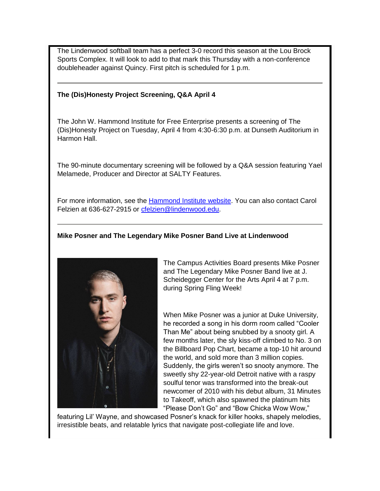The Lindenwood softball team has a perfect 3-0 record this season at the Lou Brock Sports Complex. It will look to add to that mark this Thursday with a non-conference doubleheader against Quincy. First pitch is scheduled for 1 p.m.

#### **The (Dis)Honesty Project Screening, Q&A April 4**

The John W. Hammond Institute for Free Enterprise presents a screening of The (Dis)Honesty Project on Tuesday, April 4 from 4:30-6:30 p.m. at Dunseth Auditorium in Harmon Hall.

The 90-minute documentary screening will be followed by a Q&A session featuring Yael Melamede, Producer and Director at SALTY Features.

For more information, see the [Hammond Institute website.](http://www.lindenwood.edu/academics/centers-institutes/the-hammond-institute/events-2/) You can also contact Carol Felzien at 636-627-2915 or [cfelzien@lindenwood.edu.](mailto:cfelzien@lindenwood.edu)

#### **Mike Posner and The Legendary Mike Posner Band Live at Lindenwood**



The Campus Activities Board presents Mike Posner and The Legendary Mike Posner Band live at J. Scheidegger Center for the Arts April 4 at 7 p.m. during Spring Fling Week!

When Mike Posner was a junior at Duke University, he recorded a song in his dorm room called "Cooler Than Me" about being snubbed by a snooty girl. A few months later, the sly kiss-off climbed to No. 3 on the Billboard Pop Chart, became a top-10 hit around the world, and sold more than 3 million copies. Suddenly, the girls weren't so snooty anymore. The sweetly shy 22-year-old Detroit native with a raspy soulful tenor was transformed into the break-out newcomer of 2010 with his debut album, 31 Minutes to Takeoff, which also spawned the platinum hits "Please Don't Go" and "Bow Chicka Wow Wow,"

featuring Lil' Wayne, and showcased Posner's knack for killer hooks, shapely melodies, irresistible beats, and relatable lyrics that navigate post-collegiate life and love.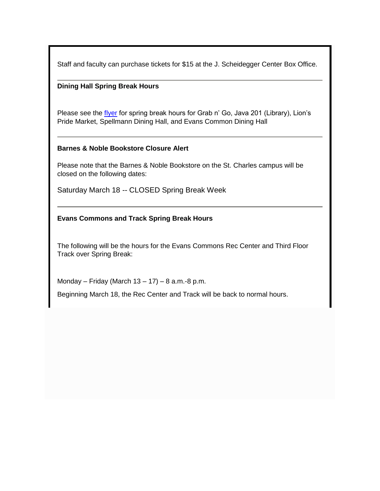Staff and faculty can purchase tickets for \$15 at the J. Scheidegger Center Box Office.

#### **Dining Hall Spring Break Hours**

Please see the *flyer* for spring break hours for Grab n' Go, Java 201 (Library), Lion's Pride Market, Spellmann Dining Hall, and Evans Common Dining Hall

#### **Barnes & Noble Bookstore Closure Alert**

Please note that the Barnes & Noble Bookstore on the St. Charles campus will be closed on the following dates:

Saturday March 18 -- CLOSED Spring Break Week

#### **Evans Commons and Track Spring Break Hours**

The following will be the hours for the Evans Commons Rec Center and Third Floor Track over Spring Break:

Monday – Friday (March 13 – 17) – 8 a.m.-8 p.m.

Beginning March 18, the Rec Center and Track will be back to normal hours.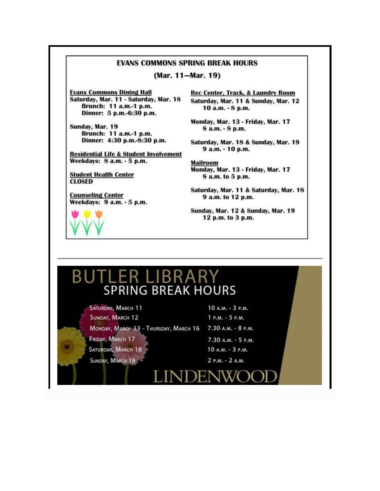#### **EVANS COMMONS SPRING BREAK HOURS**

(Mar. 11-Mar. 19)

**Evans Commons Dining Hall** Saturday, Mar. 11 - Saturday, Mar. 18 Brunch: 11 a.m.-1 p.m. Dinner: 5 p.m.-6:30 p.m.

Sunday, Mar. 19 Brunch: 11 a.m.-1 p.m. Dinner: 4:30 p.m.-8:30 p.m.

**Residential Life & Student Involvement** Weekdays: 8 a.m. - 5 p.m.

**Student Health Center CLOSED** 

**Counseling Center** Weekdays: 9 a.m. - 5 p.m.

Rec Center, Track, & Laundry Room Saturday, Mar. 11 & Sunday, Mar. 12 10 a.m. - 8 p.m.

Monday, Mar. 13 - Friday, Mar. 17 8 a.m. - 8 p.m.

Saturday, Mar. 18 & Sunday, Mar. 19 9 a.m. - 10 p.m.

**Mailroom** Monday, Mar. 13 - Friday, Mar. 17 8 a.m. to 5 p.m.

Saturday, Mar. 11 & Saturday, Mar. 18 9 a.m. to 12 p.m.

Sunday, Mar. 12 & Sunday, Mar. 19 12 p.m. to 3 p.m.

#### ER LIBRARY. B١ Ш **SPRING BREAK HOURS**

SATURDAY, MARCH 11 SUNDAY, MARCH 12 MONDAY, MARCH 13 - THURSDAY, MARCH 16 7.30 A.M. - 8 P.M. FRIDAY, MARCH 17 SATURDAY, MARCH 18

SUNDAY, MARCH 19

1 P.M. - 5 P.M. 7.30 А.М. - 5 Р.М. 10 A.M. - 3 P.M. 2 P.M. - 2 A.M.

10 A.M. - 3 P.M.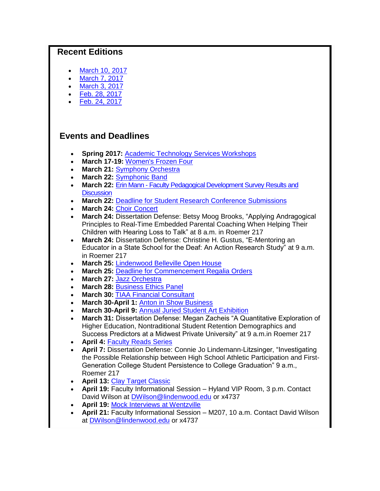### **Recent Editions**

- [March 10, 2017](http://felix.lindenwood.edu/newsletter/digest/2017_03/2017_03_10.pdf)
- [March 7, 2017](http://felix.lindenwood.edu/newsletter/digest/2017_03/2017_03_07.pdf)
- [March 3, 2017](http://felix.lindenwood.edu/newsletter/digest/2017_03/2017_03_03.pdf)
- [Feb. 28, 2017](http://felix.lindenwood.edu/newsletter/digest/2017_02/digest_2017_02_28.pdf)
- [Feb. 24, 2017](http://felix.lindenwood.edu/newsletter/digest/2017_02/digest_2017_02_24.pdf)

## **Events and Deadlines**

- **Spring 2017:** [Academic Technology Services Workshops](http://felix.lindenwood.edu/newsletter/2017_01/spring2017workshops.pdf)
- **March 17-19:** [Women's Frozen Four](https://stlsports.org/special-event/2017-ncaa-womens-frozen-four/)
- **March 21:** [Symphony Orchestra](http://www.lindenwood.edu/j-scheidegger-center-for-the-arts/upcoming-events/music/)
- **March 22:** [Symphonic Band](http://www.lindenwood.edu/j-scheidegger-center-for-the-arts/upcoming-events/music/)
- **March 22:** Erin Mann [Faculty Pedagogical Development Survey Results and](http://felix.lindenwood.edu/newsletter/2017_03/assessment_03_07.pdf)  **[Discussion](http://felix.lindenwood.edu/newsletter/2017_03/assessment_03_07.pdf)**
- **March 22:** [Deadline for Student Research Conference Submissions](http://www.lindenwood.edu/academics/beyond-the-classroom/student-research/)
- **March 24:** [Choir Concert](http://www.lindenwood.edu/j-scheidegger-center-for-the-arts/upcoming-events/music/)
- **March 24:** Dissertation Defense: Betsy Moog Brooks, "Applying Andragogical Principles to Real-Time Embedded Parental Coaching When Helping Their Children with Hearing Loss to Talk" at 8 a.m. in Roemer 217
- **March 24:** Dissertation Defense: Christine H. Gustus, "E-Mentoring an Educator in a State School for the Deaf: An Action Research Study" at 9 a.m. in Roemer 217
- **March 25:** [Lindenwood Belleville Open House](http://www.lindenwood.edu/belleville/admissions/undergraduate-admissions/open-house/)
- **March 25:** [Deadline for Commencement Regalia Orders](https://facultydirect.herffjones.com/)
- **March 27:** [Jazz Orchestra](http://www.lindenwood.edu/j-scheidegger-center-for-the-arts/upcoming-events/music/)
- **March 28:** [Business Ethics Panel](http://felix.lindenwood.edu/newsletter/2017_03/businessethicspanel.pdf)
- **March 30:** [TIAA Financial Consultant](http://felix.lindenwood.edu/newsletter/2017_03/tiaa.pdf)
- **March 30-April 1:** [Anton in Show Business](http://www.lindenwood.edu/j-scheidegger-center-for-the-arts/upcoming-events/university-theater/anton-in-show-business-march-30-april-1-6-8/)
- **March 30-April 9:** [Annual Juried Student Art Exhibition](http://www.lindenwood.edu/j-scheidegger-center-for-the-arts/upcoming-events/art-exhibits/)
- **March 31:** Dissertation Defense: Megan Zacheis "A Quantitative Exploration of Higher Education, Nontraditional Student Retention Demographics and Success Predictors at a Midwest Private University" at 9 a.m.in Roemer 217
- **April 4: [Faculty Reads Series](http://felix.lindenwood.edu/newsletter/2017_03/facultyreads.pdf)**
- **April 7:** Dissertation Defense: Connie Jo Lindemann-Litzsinger, "Investigating the Possible Relationship between High School Athletic Participation and First-Generation College Student Persistence to College Graduation" 9 a.m., Roemer 217
- **April 13:** [Clay Target Classic](http://felix.lindenwood.edu/newsletter/2017_03/clay_target_classic.pdf)
- **April 19:** Faculty Informational Session Hyland VIP Room, 3 p.m. Contact David Wilson at [DWilson@lindenwood.edu](mailto:DWilson@lindenwood.edu) or x4737
- **April 19:** [Mock Interviews at Wentzville](http://felix.lindenwood.edu/newsletter/2017_02/wentzville_interviews.pdf)
- **April 21:** Faculty Informational Session M207, 10 a.m. Contact David Wilson at [DWilson@lindenwood.edu](mailto:DWilson@lindenwood.edu) or x4737